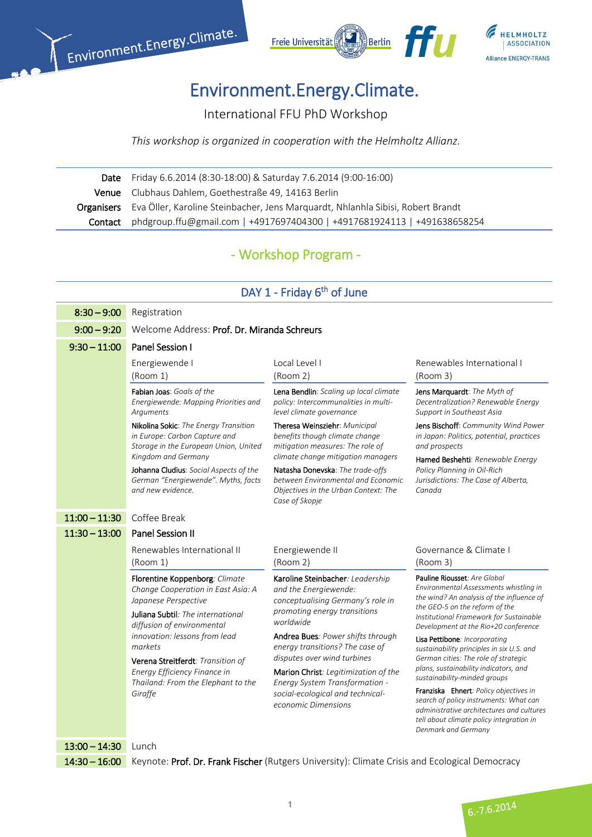



# Environment.Energy.Climate.

International FFU PhD Workshop

*This workshop is organized in cooperation with the Helmholtz Allianz.* 

 Date Friday 6.6.2014 (8:30-18:00) & Saturday 7.6.2014 (9:00-16:00) Venue Clubhaus Dahlem, Goethestraße 49, 14163 Berlin Organisers Eva Öller, Karoline Steinbacher, Jens Marquardt, Nhlanhla Sibisi, Robert Brandt Contact phdgroup.ffu@gmail.com | +4917697404300 | +4917681924113 | +491638658254

### - Workshop Program -

#### DAY 1 - Friday 6<sup>th</sup> of June

| $8:30 - 9:00$   | Registration                                                                                                    |                                                                                                                                  |                                                                                                                                                                                                  |  |
|-----------------|-----------------------------------------------------------------------------------------------------------------|----------------------------------------------------------------------------------------------------------------------------------|--------------------------------------------------------------------------------------------------------------------------------------------------------------------------------------------------|--|
| $9:00 - 9:20$   | Welcome Address: Prof. Dr. Miranda Schreurs                                                                     |                                                                                                                                  |                                                                                                                                                                                                  |  |
| $9:30 - 11:00$  | Panel Session I                                                                                                 |                                                                                                                                  |                                                                                                                                                                                                  |  |
|                 | Energiewende I<br>(Room 1)                                                                                      | Local Level I<br>(Room 2)                                                                                                        | Renewables International I<br>(Room 3)                                                                                                                                                           |  |
|                 | Fabian Joas: Goals of the<br>Energiewende: Mapping Priorities and<br>Arguments                                  | Lena Bendlin: Scaling up local climate<br>policy: Intercommunalities in multi-<br>level climate governance                       | Jens Marquardt: The Myth of<br>Decentralization? Renewable Energy<br>Support in Southeast Asia                                                                                                   |  |
|                 | Nikolina Sokic: The Energy Transition<br>in Europe: Carbon Capture and<br>Storage in the European Union, United | Theresa Weinsziehr: Municipal<br>benefits though climate change<br>mitigation measures: The role of                              | Jens Bischoff: Community Wind Power<br>in Japan: Politics, potential, practices<br>and prospects                                                                                                 |  |
|                 | Kingdom and Germany                                                                                             | climate change mitigation managers                                                                                               | Hamed Beshehti: Renewable Energy                                                                                                                                                                 |  |
|                 | Johanna Cludius: Social Aspects of the<br>German "Energiewende". Myths, facts<br>and new evidence.              | Natasha Donevska: The trade-offs<br>between Environmental and Economic<br>Objectives in the Urban Context: The<br>Case of Skopje | Policy Planning in Oil-Rich<br>Jurisdictions: The Case of Alberta,<br>Canada                                                                                                                     |  |
| $11:00 - 11:30$ | Coffee Break                                                                                                    |                                                                                                                                  |                                                                                                                                                                                                  |  |
| $11:30 - 13:00$ | <b>Panel Session II</b>                                                                                         |                                                                                                                                  |                                                                                                                                                                                                  |  |
|                 |                                                                                                                 |                                                                                                                                  |                                                                                                                                                                                                  |  |
|                 | Renewables International II<br>(Room 1)                                                                         | Energiewende II<br>(Room 2)                                                                                                      | Governance & Climate I<br>(Room 3)                                                                                                                                                               |  |
|                 | Florentine Koppenborg: Climate<br>Change Cooperation in East Asia: A<br>Japanese Perspective                    | Karoline Steinbacher: Leadership<br>and the Energiewende:<br>conceptualising Germany's role in                                   | Pauline Riousset: Are Global<br>Environmental Assessments whistling in<br>the wind? An analysis of the influence of                                                                              |  |
|                 | Juliana Subtil: The international<br>diffusion of environmental                                                 | promoting energy transitions<br>worldwide                                                                                        | the GEO-5 on the reform of the<br>Institutional Framework for Sustainable<br>Development at the Rio+20 conference                                                                                |  |
|                 | innovation: lessons from lead<br>markets                                                                        | Andrea Bues: Power shifts through<br>energy transitions? The case of                                                             | Lisa Pettibone: Incorporating<br>sustainability principles in six U.S. and                                                                                                                       |  |
|                 | Verena Streitferdt: Transition of                                                                               | disputes over wind turbines                                                                                                      | German cities: The role of strategic                                                                                                                                                             |  |
|                 | Energy Efficiency Finance in                                                                                    | Marion Christ: Legitimization of the                                                                                             | plans, sustainability indicators, and<br>sustainability-minded groups                                                                                                                            |  |
|                 | Thailand: From the Elephant to the<br>Giraffe                                                                   | Energy System Transformation -<br>social-ecological and technical-<br>economic Dimensions                                        | Franziska Ehnert: Policy objectives in<br>search of policy instruments: What can<br>administrative architectures and cultures<br>tell about climate policy integration in<br>Denmark and Germany |  |

14:30 – 16:00 Keynote: Prof. Dr. Frank Fischer (Rutgers University): Climate Crisis and Ecological Democracy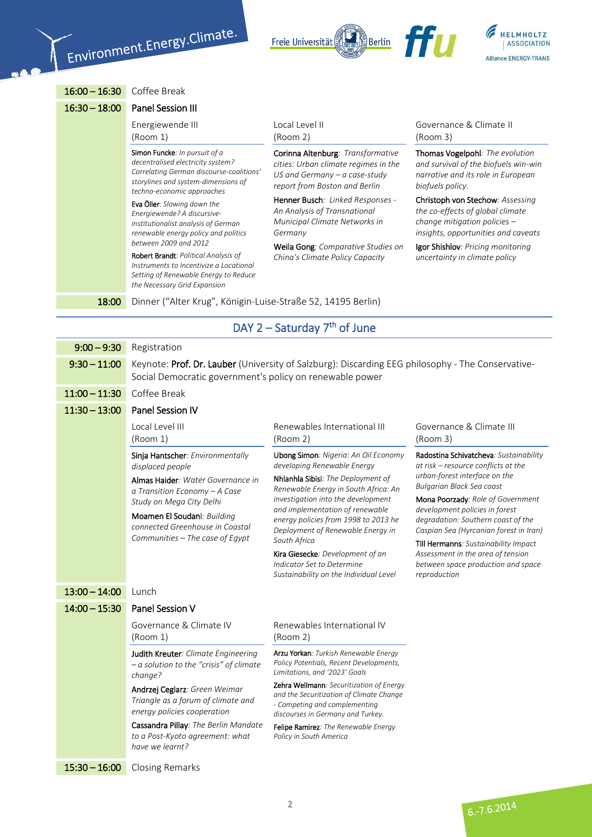



16:00 – 16:30 Coffee Break

| $16:30 - 18:00$ | Panel Session III |
|-----------------|-------------------|
|                 | Energiewende III  |

15:30 – 16:00 Closing Remarks

(Room 1) Simon Funcke*: In pursuit of a decentralised electricity system? Correlating German discourse-coalitions' storylines and system-dimensions of techno-economic approaches*

Eva Öller*: Slowing down the Energiewende? A discursiveinstitutionalist analysis of German renewable energy policy and politics between 2009 and 2012*

Robert Brandt*: Political Analysis of Instruments to Incentivize a Locational Setting of Renewable Energy to Reduce the Necessary Grid Expansion*

Local Level II (Room 2)

Corinna Altenburg*: Transformative cities: Urban climate regimes in the US and Germany – a case-study report from Boston and Berlin*

Henner Busch*: Linked Responses - An Analysis of Transnational Municipal Climate Networks in Germany*

Weila Gong*: Comparative Studies on China's Climate Policy Capacity*

Governance & Climate II (Room 3)

**TTII** 

Thomas Vogelpohl*: The evolution and survival of the biofuels win-win narrative and its role in European biofuels policy.*

Christoph von Stechow*: Assessing the co-effects of global climate change mitigation policies – insights, opportunities and caveats*

Igor Shishlov*: Pricing monitoring uncertainty in climate policy*

18:00 Dinner ("Alter Krug", Königin-Luise-Straße 52, 14195 Berlin)

#### DAY  $2$  – Saturday  $7<sup>th</sup>$  of June

| $9:00 - 9:30$   | Registration                                                                                                                                                                                        |                                                                                                                                                                                                                                                  |                                                                                                                                                     |
|-----------------|-----------------------------------------------------------------------------------------------------------------------------------------------------------------------------------------------------|--------------------------------------------------------------------------------------------------------------------------------------------------------------------------------------------------------------------------------------------------|-----------------------------------------------------------------------------------------------------------------------------------------------------|
| $9:30 - 11:00$  | Keynote: Prof. Dr. Lauber (University of Salzburg): Discarding EEG philosophy - The Conservative-<br>Social Democratic government's policy on renewable power                                       |                                                                                                                                                                                                                                                  |                                                                                                                                                     |
| $11:00 - 11:30$ | Coffee Break                                                                                                                                                                                        |                                                                                                                                                                                                                                                  |                                                                                                                                                     |
| $11:30 - 13:00$ | <b>Panel Session IV</b>                                                                                                                                                                             |                                                                                                                                                                                                                                                  |                                                                                                                                                     |
|                 | Local Level III<br>(Room 1)                                                                                                                                                                         | Renewables International III<br>(Room 2)                                                                                                                                                                                                         | Governance & Climate III<br>(Room 3)                                                                                                                |
|                 | Sinja Hantscher: Environmentally<br>displaced people                                                                                                                                                | <b>Ubong Simon: Nigeria: An Oil Economy</b><br>developing Renewable Energy                                                                                                                                                                       | Radostina Schivatcheva: Sustainability<br>at risk - resource conflicts at the<br>urban-forest interface on the                                      |
|                 | Almas Haider: Water Governance in<br>a Transition Economy - A Case<br>Study on Mega City Delhi<br>Moamen El Soudani: Building<br>connected Greenhouse in Coastal<br>Communities - The case of Egypt | Nhlanhla Sibisi: The Deployment of<br>Renewable Energy in South Africa: An<br>investigation into the development<br>and implementation of renewable<br>energy policies from 1998 to 2013 he<br>Deployment of Renewable Energy in<br>South Africa | <b>Bulgarian Black Sea coast</b>                                                                                                                    |
|                 |                                                                                                                                                                                                     |                                                                                                                                                                                                                                                  | Mona Poorzady: Role of Government<br>development policies in forest<br>degradation: Southern coast of the<br>Caspian Sea (Hyrcanian forest in Iran) |
|                 |                                                                                                                                                                                                     |                                                                                                                                                                                                                                                  |                                                                                                                                                     |
|                 |                                                                                                                                                                                                     |                                                                                                                                                                                                                                                  | Till Hermanns: Sustainability Impact                                                                                                                |
|                 |                                                                                                                                                                                                     | Kira Giesecke: Development of an<br>Indicator Set to Determine<br>Sustainability on the Individual Level                                                                                                                                         | Assessment in the area of tension<br>between space production and space<br>reproduction                                                             |
| $13:00 - 14:00$ | Lunch                                                                                                                                                                                               |                                                                                                                                                                                                                                                  |                                                                                                                                                     |
| $14:00 - 15:30$ | Panel Session V                                                                                                                                                                                     |                                                                                                                                                                                                                                                  |                                                                                                                                                     |
|                 | Governance & Climate IV<br>(Room 1)                                                                                                                                                                 | Renewables International IV<br>(Room 2)                                                                                                                                                                                                          |                                                                                                                                                     |
|                 | Judith Kreuter: Climate Engineering<br>$-a$ solution to the "crisis" of climate<br>change?<br>Andrzej Ceglarz: Green Weimar<br>Triangle as a forum of climate and<br>energy policies cooperation    | Arzu Yorkan: Turkish Renewable Energy<br>Policy Potentials, Recent Developments,<br>Limitations, and '2023' Goals                                                                                                                                |                                                                                                                                                     |
|                 |                                                                                                                                                                                                     | Zehra Wellmann: Securitization of Energy<br>and the Securitization of Climate Change<br>- Competing and complementing<br>discourses in Germany and Turkey.                                                                                       |                                                                                                                                                     |
|                 | Cassandra Pillay: The Berlin Mandate<br>to a Post-Kyoto agreement: what<br>have we learnt?                                                                                                          | Felipe Ramirez: The Renewable Energy<br>Policy in South America                                                                                                                                                                                  |                                                                                                                                                     |